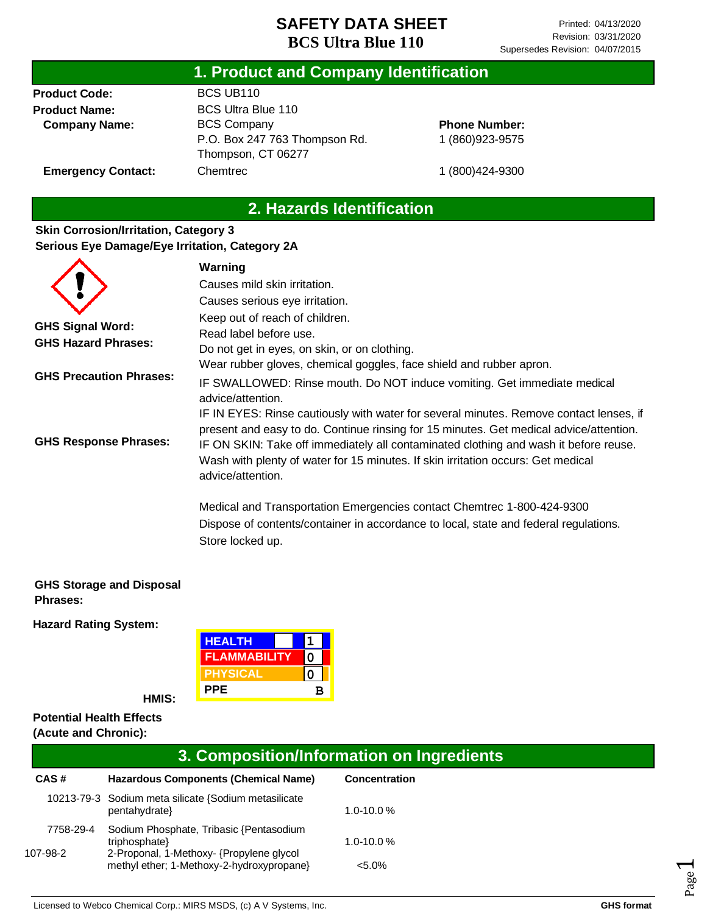### **1. Product and Company Identification**

**Product Code: Product Name: Company Name:**

**Emergency Contact:**

BCS UB110 BCS Ultra Blue 110 BCS Company P.O. Box 247 763 Thompson Rd. Thompson, CT 06277 Chemtrec

**Phone Number:** 1 (860)923-9575

1 (800)424-9300

### **2. Hazards Identification**

#### **Skin Corrosion/Irritation, Category 3 Serious Eye Damage/Eye Irritation, Category 2A**

|                                | Warning                                                                                |
|--------------------------------|----------------------------------------------------------------------------------------|
|                                | Causes mild skin irritation.                                                           |
|                                | Causes serious eye irritation.                                                         |
|                                | Keep out of reach of children.                                                         |
| <b>GHS Signal Word:</b>        | Read label before use.                                                                 |
| <b>GHS Hazard Phrases:</b>     | Do not get in eyes, on skin, or on clothing.                                           |
|                                | Wear rubber gloves, chemical goggles, face shield and rubber apron.                    |
| <b>GHS Precaution Phrases:</b> | IF SWALLOWED: Rinse mouth. Do NOT induce vomiting. Get immediate medical               |
|                                | advice/attention.                                                                      |
|                                | IF IN EYES: Rinse cautiously with water for several minutes. Remove contact lenses, if |
|                                | present and easy to do. Continue rinsing for 15 minutes. Get medical advice/attention. |
| <b>GHS Response Phrases:</b>   | IF ON SKIN: Take off immediately all contaminated clothing and wash it before reuse.   |
|                                | Wash with plenty of water for 15 minutes. If skin irritation occurs: Get medical       |
|                                | advice/attention.                                                                      |
|                                | Medical and Transportation Emergencies contact Chemtrec 1-800-424-9300                 |
|                                | Dispose of contents/container in accordance to local, state and federal regulations.   |
|                                | Store locked up.                                                                       |

#### **GHS Storage and Disposal Phrases:**

**Hazard Rating System:**

| <b>HEALTH</b>       |   |  |
|---------------------|---|--|
| <b>FLAMMABILITY</b> |   |  |
| <b>PHYSICAL</b>     |   |  |
| <b>PPE</b>          | R |  |

**HMIS:**

#### **Potential Health Effects (Acute and Chronic):**

| 3. Composition/Information on Ingredients |                                                                                                                                                   |                             |  |  |
|-------------------------------------------|---------------------------------------------------------------------------------------------------------------------------------------------------|-----------------------------|--|--|
| CAS#                                      | <b>Hazardous Components (Chemical Name)</b>                                                                                                       | Concentration               |  |  |
|                                           | 10213-79-3 Sodium meta silicate {Sodium metasilicate<br>pentahydrate}                                                                             | $1.0 - 10.0 %$              |  |  |
| 7758-29-4<br>107-98-2                     | Sodium Phosphate, Tribasic {Pentasodium<br>triphosphate}<br>2-Proponal, 1-Methoxy- {Propylene glycol<br>methyl ether; 1-Methoxy-2-hydroxypropane} | $1.0 - 10.0 %$<br>$< 5.0\%$ |  |  |

Page  $\overline{\phantom{0}}$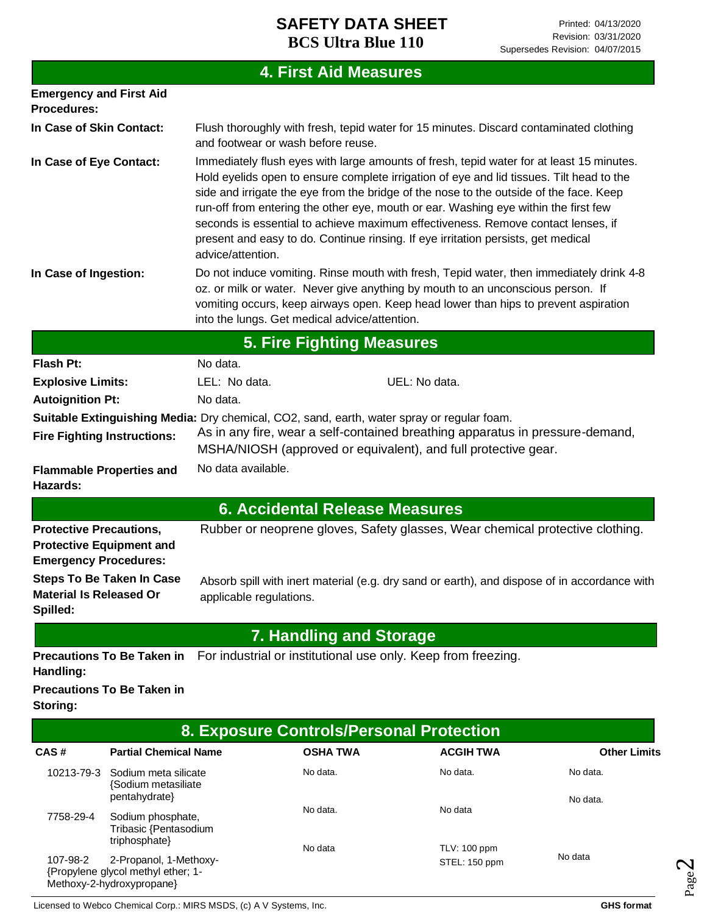|                                                                                                   |                                                                                                                                                                                                                                                                                                                                                                                                                                                                                                                                                                     | <b>4. First Aid Measures</b>                                                                                           |  |  |
|---------------------------------------------------------------------------------------------------|---------------------------------------------------------------------------------------------------------------------------------------------------------------------------------------------------------------------------------------------------------------------------------------------------------------------------------------------------------------------------------------------------------------------------------------------------------------------------------------------------------------------------------------------------------------------|------------------------------------------------------------------------------------------------------------------------|--|--|
| <b>Emergency and First Aid</b><br><b>Procedures:</b>                                              |                                                                                                                                                                                                                                                                                                                                                                                                                                                                                                                                                                     |                                                                                                                        |  |  |
| In Case of Skin Contact:                                                                          | Flush thoroughly with fresh, tepid water for 15 minutes. Discard contaminated clothing<br>and footwear or wash before reuse.                                                                                                                                                                                                                                                                                                                                                                                                                                        |                                                                                                                        |  |  |
| In Case of Eye Contact:                                                                           | Immediately flush eyes with large amounts of fresh, tepid water for at least 15 minutes.<br>Hold eyelids open to ensure complete irrigation of eye and lid tissues. Tilt head to the<br>side and irrigate the eye from the bridge of the nose to the outside of the face. Keep<br>run-off from entering the other eye, mouth or ear. Washing eye within the first few<br>seconds is essential to achieve maximum effectiveness. Remove contact lenses, if<br>present and easy to do. Continue rinsing. If eye irritation persists, get medical<br>advice/attention. |                                                                                                                        |  |  |
| In Case of Ingestion:                                                                             | Do not induce vomiting. Rinse mouth with fresh, Tepid water, then immediately drink 4-8<br>oz. or milk or water. Never give anything by mouth to an unconscious person. If<br>vomiting occurs, keep airways open. Keep head lower than hips to prevent aspiration<br>into the lungs. Get medical advice/attention.                                                                                                                                                                                                                                                  |                                                                                                                        |  |  |
|                                                                                                   |                                                                                                                                                                                                                                                                                                                                                                                                                                                                                                                                                                     | <b>5. Fire Fighting Measures</b>                                                                                       |  |  |
| <b>Flash Pt:</b>                                                                                  | No data.                                                                                                                                                                                                                                                                                                                                                                                                                                                                                                                                                            |                                                                                                                        |  |  |
| <b>Explosive Limits:</b>                                                                          | LEL: No data.                                                                                                                                                                                                                                                                                                                                                                                                                                                                                                                                                       | UEL: No data.                                                                                                          |  |  |
| <b>Autoignition Pt:</b>                                                                           | No data.                                                                                                                                                                                                                                                                                                                                                                                                                                                                                                                                                            |                                                                                                                        |  |  |
| <b>Fire Fighting Instructions:</b>                                                                | Suitable Extinguishing Media: Dry chemical, CO2, sand, earth, water spray or regular foam.<br>As in any fire, wear a self-contained breathing apparatus in pressure-demand,<br>MSHA/NIOSH (approved or equivalent), and full protective gear.                                                                                                                                                                                                                                                                                                                       |                                                                                                                        |  |  |
| <b>Flammable Properties and</b><br>Hazards:                                                       | No data available.                                                                                                                                                                                                                                                                                                                                                                                                                                                                                                                                                  |                                                                                                                        |  |  |
|                                                                                                   |                                                                                                                                                                                                                                                                                                                                                                                                                                                                                                                                                                     | <b>6. Accidental Release Measures</b>                                                                                  |  |  |
| <b>Protective Precautions,</b><br><b>Protective Equipment and</b><br><b>Emergency Procedures:</b> |                                                                                                                                                                                                                                                                                                                                                                                                                                                                                                                                                                     | Rubber or neoprene gloves, Safety glasses, Wear chemical protective clothing.                                          |  |  |
| <b>Material Is Released Or</b><br>Spilled:                                                        | applicable regulations.                                                                                                                                                                                                                                                                                                                                                                                                                                                                                                                                             | Steps To Be Taken In Case Absorb spill with inert material (e.g. dry sand or earth), and dispose of in accordance with |  |  |
|                                                                                                   |                                                                                                                                                                                                                                                                                                                                                                                                                                                                                                                                                                     | <b>7. Handling and Storage</b>                                                                                         |  |  |
| <b>Precautions To Be Taken in</b><br>Handling:                                                    |                                                                                                                                                                                                                                                                                                                                                                                                                                                                                                                                                                     | For industrial or institutional use only. Keep from freezing.                                                          |  |  |
| <b>Precautions To Be Taken in</b><br>Storing:                                                     |                                                                                                                                                                                                                                                                                                                                                                                                                                                                                                                                                                     |                                                                                                                        |  |  |

| 8. Exposure Controls/Personal Protection |                                                                                           |                     |                                      |                      |
|------------------------------------------|-------------------------------------------------------------------------------------------|---------------------|--------------------------------------|----------------------|
| CAS#                                     | <b>Partial Chemical Name</b>                                                              | <b>OSHA TWA</b>     | <b>ACGIH TWA</b>                     | <b>Other Limits</b>  |
| 10213-79-3                               | Sodium meta silicate<br>{Sodium metasiliate}<br>pentahydrate}                             | No data.            | No data.                             | No data.<br>No data. |
| 7758-29-4                                | Sodium phosphate,<br>Tribasic {Pentasodium<br>triphosphate}                               | No data.<br>No data | No data                              |                      |
| 107-98-2                                 | 2-Propanol, 1-Methoxy-<br>{Propylene glycol methyl ether; 1-<br>Methoxy-2-hydroxypropane} |                     | <b>TLV: 100 ppm</b><br>STEL: 150 ppm | No data              |

Licensed to Webco Chemical Corp.: MIRS MSDS, (c) A V Systems, Inc. **GHS** format **GHS** format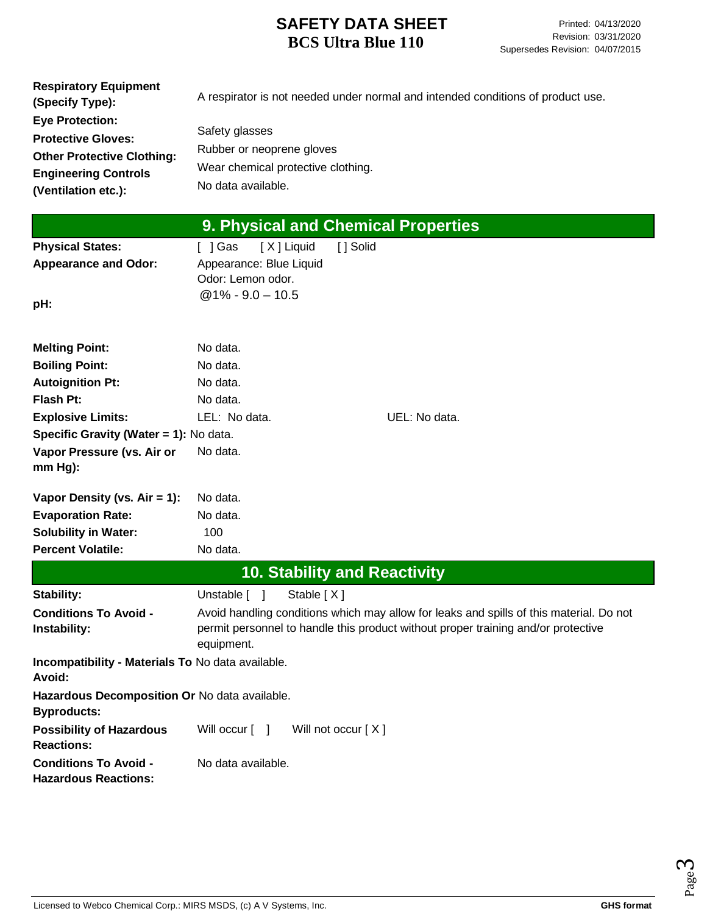| <b>Eye Protection:</b><br>Safety glasses<br><b>Protective Gloves:</b> | <b>Respiratory Equipment</b><br>(Specify Type): | A respirator is not needed under normal and intended conditions of product use. |
|-----------------------------------------------------------------------|-------------------------------------------------|---------------------------------------------------------------------------------|
|                                                                       |                                                 |                                                                                 |
|                                                                       |                                                 |                                                                                 |
| <b>Other Protective Clothing:</b>                                     |                                                 | Rubber or neoprene gloves                                                       |
| Wear chemical protective clothing.<br><b>Engineering Controls</b>     |                                                 |                                                                                 |
| No data available.<br>(Ventilation etc.):                             |                                                 |                                                                                 |

|                                                                     | 9. Physical and Chemical Properties          |                                                                                                                                                                              |
|---------------------------------------------------------------------|----------------------------------------------|------------------------------------------------------------------------------------------------------------------------------------------------------------------------------|
| <b>Physical States:</b>                                             | [X] Liquid<br>[ ] Solid<br>[ ] Gas           |                                                                                                                                                                              |
| <b>Appearance and Odor:</b>                                         | Appearance: Blue Liquid<br>Odor: Lemon odor. |                                                                                                                                                                              |
| pH:                                                                 | $@1\% - 9.0 - 10.5$                          |                                                                                                                                                                              |
| <b>Melting Point:</b>                                               | No data.                                     |                                                                                                                                                                              |
| <b>Boiling Point:</b>                                               | No data.                                     |                                                                                                                                                                              |
| <b>Autoignition Pt:</b>                                             | No data.                                     |                                                                                                                                                                              |
| Flash Pt:                                                           | No data.                                     |                                                                                                                                                                              |
| <b>Explosive Limits:</b>                                            | LEL: No data.                                | UEL: No data.                                                                                                                                                                |
| Specific Gravity (Water = 1): No data.                              |                                              |                                                                                                                                                                              |
| Vapor Pressure (vs. Air or<br>mm Hg):                               | No data.                                     |                                                                                                                                                                              |
| Vapor Density (vs. $Air = 1$ ):                                     | No data.                                     |                                                                                                                                                                              |
| <b>Evaporation Rate:</b>                                            | No data.                                     |                                                                                                                                                                              |
| <b>Solubility in Water:</b>                                         | 100                                          |                                                                                                                                                                              |
| <b>Percent Volatile:</b>                                            | No data.                                     |                                                                                                                                                                              |
|                                                                     | <b>10. Stability and Reactivity</b>          |                                                                                                                                                                              |
| Stability:                                                          | Stable [X]<br>Unstable [ ]                   |                                                                                                                                                                              |
| <b>Conditions To Avoid -</b><br>Instability:                        | equipment.                                   | Avoid handling conditions which may allow for leaks and spills of this material. Do not<br>permit personnel to handle this product without proper training and/or protective |
| Incompatibility - Materials To No data available.<br>Avoid:         |                                              |                                                                                                                                                                              |
| Hazardous Decomposition Or No data available.<br><b>Byproducts:</b> |                                              |                                                                                                                                                                              |
| <b>Possibility of Hazardous</b><br><b>Reactions:</b>                | Will not occur [X]<br>Will occur [ ]         |                                                                                                                                                                              |
| <b>Conditions To Avoid -</b><br><b>Hazardous Reactions:</b>         | No data available.                           |                                                                                                                                                                              |

Licensed to Webco Chemical Corp.: MIRS MSDS, (c) A V Systems, Inc. **GHS** format **GHS** format

Page ო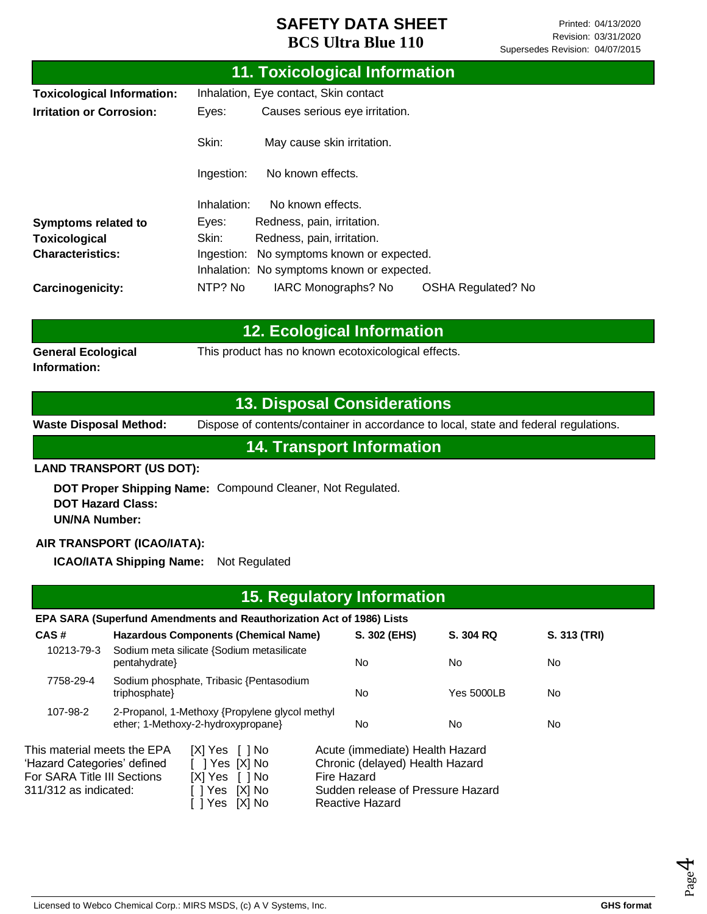|                                   |                                         | 11. Toxicological Information              |                           |  |
|-----------------------------------|-----------------------------------------|--------------------------------------------|---------------------------|--|
| <b>Toxicological Information:</b> | Inhalation, Eye contact, Skin contact   |                                            |                           |  |
| <b>Irritation or Corrosion:</b>   | Causes serious eye irritation.<br>Eyes: |                                            |                           |  |
|                                   | Skin:                                   | May cause skin irritation.                 |                           |  |
|                                   | Ingestion:                              | No known effects.                          |                           |  |
|                                   | Inhalation:                             | No known effects.                          |                           |  |
| <b>Symptoms related to</b>        | Eyes:                                   | Redness, pain, irritation.                 |                           |  |
| <b>Toxicological</b>              | Skin:<br>Redness, pain, irritation.     |                                            |                           |  |
| <b>Characteristics:</b>           | Ingestion:                              | No symptoms known or expected.             |                           |  |
|                                   |                                         | Inhalation: No symptoms known or expected. |                           |  |
| Carcinogenicity:                  | NTP? No                                 | IARC Monographs? No                        | <b>OSHA Regulated? No</b> |  |

|                                    | 12. Ecological Information                          |
|------------------------------------|-----------------------------------------------------|
| General Ecological<br>Information: | This product has no known ecotoxicological effects. |

# **13. Disposal Considerations**

**Waste Disposal Method:** Dispose of contents/container in accordance to local, state and federal regulations.

**14. Transport Information**

#### **LAND TRANSPORT (US DOT):**

**DOT Proper Shipping Name:**  Compound Cleaner, Not Regulated. **DOT Hazard Class: UN/NA Number:**

### **AIR TRANSPORT (ICAO/IATA):**

**ICAO/IATA Shipping Name:** Not Regulated

| <b>15. Regulatory Information</b>                                                                                  |               |                                                                                          |             |                                                                                                                            |            |              |  |
|--------------------------------------------------------------------------------------------------------------------|---------------|------------------------------------------------------------------------------------------|-------------|----------------------------------------------------------------------------------------------------------------------------|------------|--------------|--|
|                                                                                                                    |               | EPA SARA (Superfund Amendments and Reauthorization Act of 1986) Lists                    |             |                                                                                                                            |            |              |  |
| CAS#                                                                                                               |               | Hazardous Components (Chemical Name)                                                     |             | S. 302 (EHS)                                                                                                               | S. 304 RQ  | S. 313 (TRI) |  |
| 10213-79-3                                                                                                         | pentahydrate} | Sodium meta silicate {Sodium metasilicate                                                |             | No.                                                                                                                        | No.        | No.          |  |
| 7758-29-4                                                                                                          | triphosphate} | Sodium phosphate, Tribasic {Pentasodium                                                  |             | No.                                                                                                                        | Yes 5000LB | No           |  |
| 107-98-2                                                                                                           |               | 2-Propanol, 1-Methoxy {Propylene glycol methyl<br>ether; 1-Methoxy-2-hydroxypropane}     |             | No.                                                                                                                        | No.        | No.          |  |
| This material meets the EPA<br>'Hazard Categories' defined<br>For SARA Title III Sections<br>311/312 as indicated: |               | $[X]$ Yes $[$ $]$ No<br>7   Yes [X] No<br>[X] Yes [] No<br>[X] No<br>1 Yes<br>Yes IXI No | Fire Hazard | Acute (immediate) Health Hazard<br>Chronic (delayed) Health Hazard<br>Sudden release of Pressure Hazard<br>Reactive Hazard |            |              |  |

Page 4